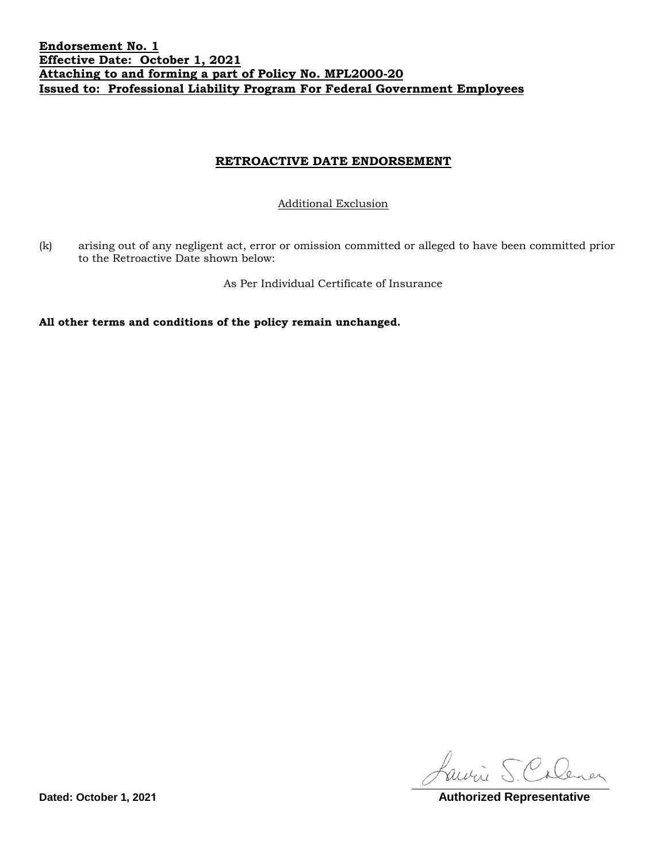# **Endorsement No. 1 Effective Date: October 1, 2021 Attaching to and forming a part of Policy No. MPL2000-20 Issued to: Professional Liability Program For Federal Government Employees**

# **RETROACTIVE DATE ENDORSEMENT**

### Additional Exclusion

(k) arising out of any negligent act, error or omission committed or alleged to have been committed prior to the Retroactive Date shown below:

As Per Individual Certificate of Insurance

aurie S. Colener

**Dated: October 1, 2021 Authorized Representative**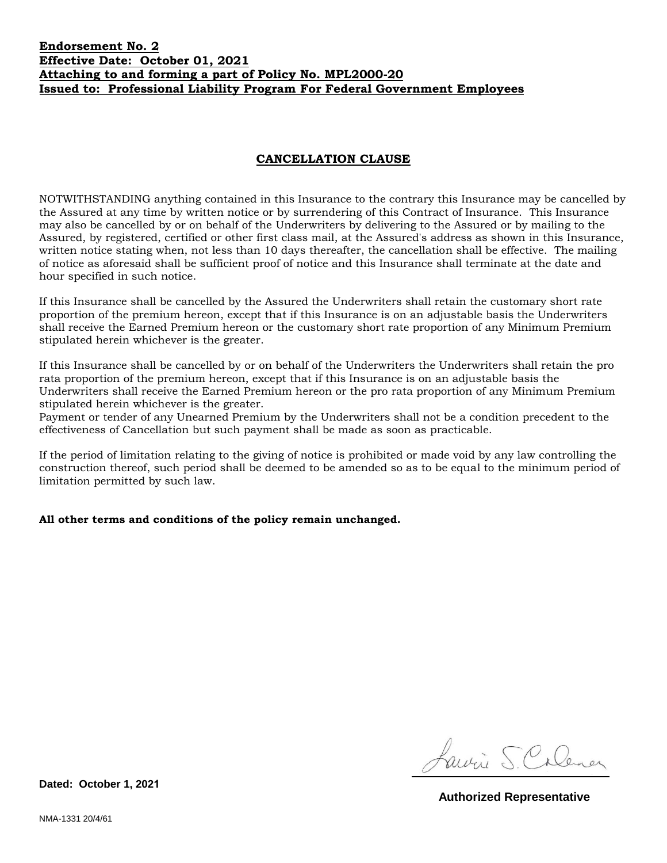## **Endorsement No. 2 Effective Date: October 01, 2021 Attaching to and forming a part of Policy No. MPL2000-20 Issued to: Professional Liability Program For Federal Government Employees**

### **CANCELLATION CLAUSE**

NOTWITHSTANDING anything contained in this Insurance to the contrary this Insurance may be cancelled by the Assured at any time by written notice or by surrendering of this Contract of Insurance. This Insurance may also be cancelled by or on behalf of the Underwriters by delivering to the Assured or by mailing to the Assured, by registered, certified or other first class mail, at the Assured's address as shown in this Insurance, written notice stating when, not less than 10 days thereafter, the cancellation shall be effective. The mailing of notice as aforesaid shall be sufficient proof of notice and this Insurance shall terminate at the date and hour specified in such notice.

If this Insurance shall be cancelled by the Assured the Underwriters shall retain the customary short rate proportion of the premium hereon, except that if this Insurance is on an adjustable basis the Underwriters shall receive the Earned Premium hereon or the customary short rate proportion of any Minimum Premium stipulated herein whichever is the greater.

If this Insurance shall be cancelled by or on behalf of the Underwriters the Underwriters shall retain the pro rata proportion of the premium hereon, except that if this Insurance is on an adjustable basis the Underwriters shall receive the Earned Premium hereon or the pro rata proportion of any Minimum Premium stipulated herein whichever is the greater.

Payment or tender of any Unearned Premium by the Underwriters shall not be a condition precedent to the effectiveness of Cancellation but such payment shall be made as soon as practicable.

If the period of limitation relating to the giving of notice is prohibited or made void by any law controlling the construction thereof, such period shall be deemed to be amended so as to be equal to the minimum period of limitation permitted by such law.

#### **All other terms and conditions of the policy remain unchanged.**

Laurie S. Calena

**Authorized Representative**

**Dated: October 1, 2021**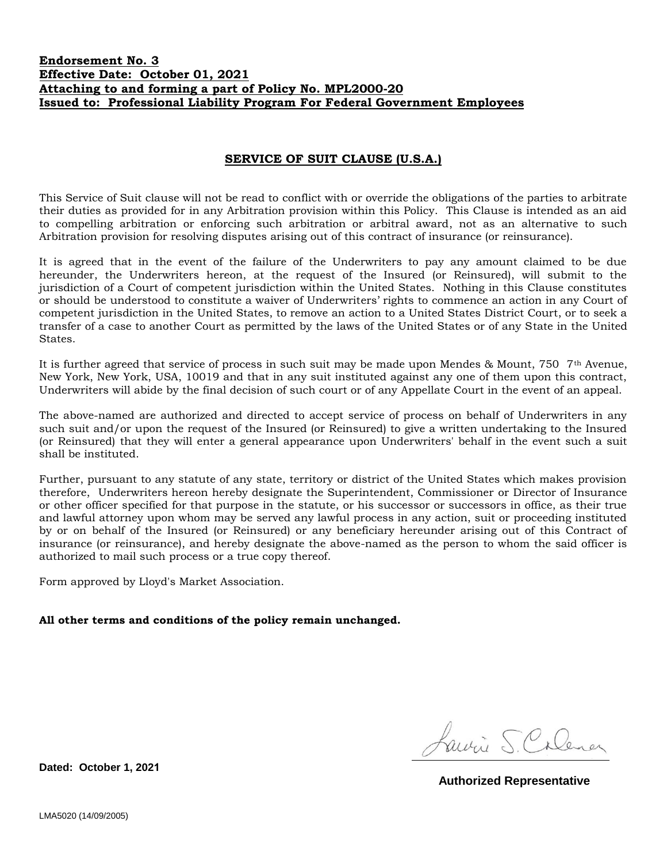### **Endorsement No. 3 Effective Date: October 01, 2021 Attaching to and forming a part of Policy No. MPL2000-20 Issued to: Professional Liability Program For Federal Government Employees**

### **SERVICE OF SUIT CLAUSE (U.S.A.)**

This Service of Suit clause will not be read to conflict with or override the obligations of the parties to arbitrate their duties as provided for in any Arbitration provision within this Policy. This Clause is intended as an aid to compelling arbitration or enforcing such arbitration or arbitral award, not as an alternative to such Arbitration provision for resolving disputes arising out of this contract of insurance (or reinsurance).

It is agreed that in the event of the failure of the Underwriters to pay any amount claimed to be due hereunder, the Underwriters hereon, at the request of the Insured (or Reinsured), will submit to the jurisdiction of a Court of competent jurisdiction within the United States. Nothing in this Clause constitutes or should be understood to constitute a waiver of Underwriters' rights to commence an action in any Court of competent jurisdiction in the United States, to remove an action to a United States District Court, or to seek a transfer of a case to another Court as permitted by the laws of the United States or of any State in the United States.

It is further agreed that service of process in such suit may be made upon Mendes & Mount, 750 7th Avenue, New York, New York, USA, 10019 and that in any suit instituted against any one of them upon this contract, Underwriters will abide by the final decision of such court or of any Appellate Court in the event of an appeal.

The above-named are authorized and directed to accept service of process on behalf of Underwriters in any such suit and/or upon the request of the Insured (or Reinsured) to give a written undertaking to the Insured (or Reinsured) that they will enter a general appearance upon Underwriters' behalf in the event such a suit shall be instituted.

Further, pursuant to any statute of any state, territory or district of the United States which makes provision therefore, Underwriters hereon hereby designate the Superintendent, Commissioner or Director of Insurance or other officer specified for that purpose in the statute, or his successor or successors in office, as their true and lawful attorney upon whom may be served any lawful process in any action, suit or proceeding instituted by or on behalf of the Insured (or Reinsured) or any beneficiary hereunder arising out of this Contract of insurance (or reinsurance), and hereby designate the above-named as the person to whom the said officer is authorized to mail such process or a true copy thereof.

Form approved by Lloyd's Market Association.

#### **All other terms and conditions of the policy remain unchanged.**

Laurie S. Colenar

**Authorized Representative**

**Dated: October 1, 2021**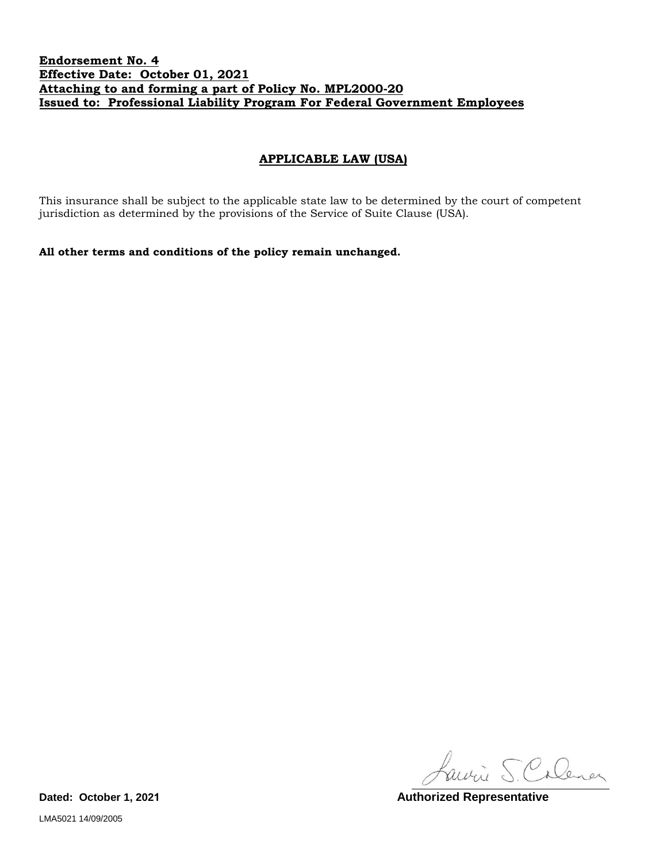### **Endorsement No. 4 Effective Date: October 01, 2021 Attaching to and forming a part of Policy No. MPL2000-20 Issued to: Professional Liability Program For Federal Government Employees**

# **APPLICABLE LAW (USA)**

This insurance shall be subject to the applicable state law to be determined by the court of competent jurisdiction as determined by the provisions of the Service of Suite Clause (USA).

aurie S. Calenar

**Dated: October 1, 2021 Authorized Representative**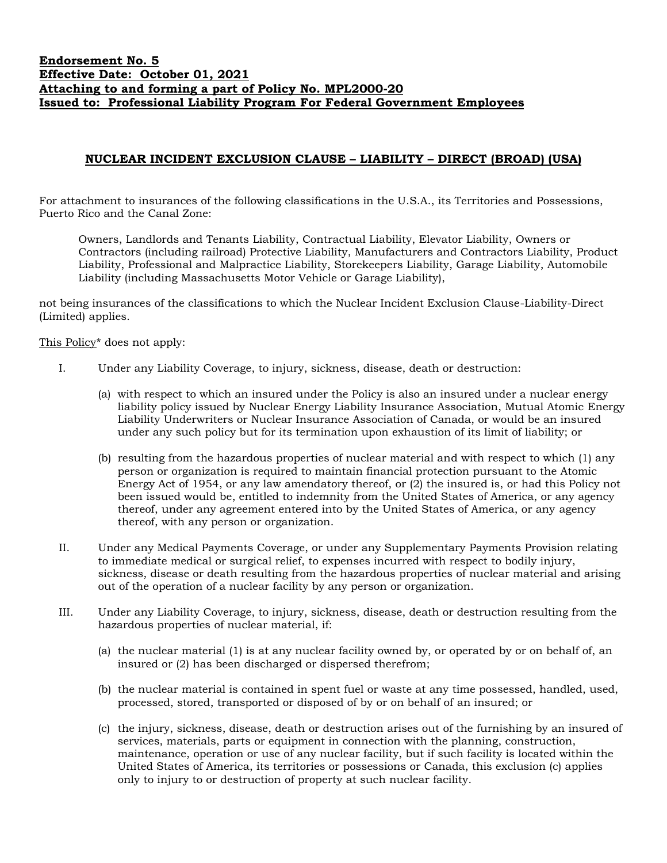### **Endorsement No. 5 Effective Date: October 01, 2021 Attaching to and forming a part of Policy No. MPL2000-20 Issued to: Professional Liability Program For Federal Government Employees**

## **NUCLEAR INCIDENT EXCLUSION CLAUSE – LIABILITY – DIRECT (BROAD) (USA)**

For attachment to insurances of the following classifications in the U.S.A., its Territories and Possessions, Puerto Rico and the Canal Zone:

Owners, Landlords and Tenants Liability, Contractual Liability, Elevator Liability, Owners or Contractors (including railroad) Protective Liability, Manufacturers and Contractors Liability, Product Liability, Professional and Malpractice Liability, Storekeepers Liability, Garage Liability, Automobile Liability (including Massachusetts Motor Vehicle or Garage Liability),

not being insurances of the classifications to which the Nuclear Incident Exclusion Clause-Liability-Direct (Limited) applies.

This Policy\* does not apply:

- I. Under any Liability Coverage, to injury, sickness, disease, death or destruction:
	- (a) with respect to which an insured under the Policy is also an insured under a nuclear energy liability policy issued by Nuclear Energy Liability Insurance Association, Mutual Atomic Energy Liability Underwriters or Nuclear Insurance Association of Canada, or would be an insured under any such policy but for its termination upon exhaustion of its limit of liability; or
	- (b) resulting from the hazardous properties of nuclear material and with respect to which (1) any person or organization is required to maintain financial protection pursuant to the Atomic Energy Act of 1954, or any law amendatory thereof, or (2) the insured is, or had this Policy not been issued would be, entitled to indemnity from the United States of America, or any agency thereof, under any agreement entered into by the United States of America, or any agency thereof, with any person or organization.
- II. Under any Medical Payments Coverage, or under any Supplementary Payments Provision relating to immediate medical or surgical relief, to expenses incurred with respect to bodily injury, sickness, disease or death resulting from the hazardous properties of nuclear material and arising out of the operation of a nuclear facility by any person or organization.
- III. Under any Liability Coverage, to injury, sickness, disease, death or destruction resulting from the hazardous properties of nuclear material, if:
	- (a) the nuclear material (1) is at any nuclear facility owned by, or operated by or on behalf of, an insured or (2) has been discharged or dispersed therefrom;
	- (b) the nuclear material is contained in spent fuel or waste at any time possessed, handled, used, processed, stored, transported or disposed of by or on behalf of an insured; or
	- (c) the injury, sickness, disease, death or destruction arises out of the furnishing by an insured of services, materials, parts or equipment in connection with the planning, construction, maintenance, operation or use of any nuclear facility, but if such facility is located within the United States of America, its territories or possessions or Canada, this exclusion (c) applies only to injury to or destruction of property at such nuclear facility.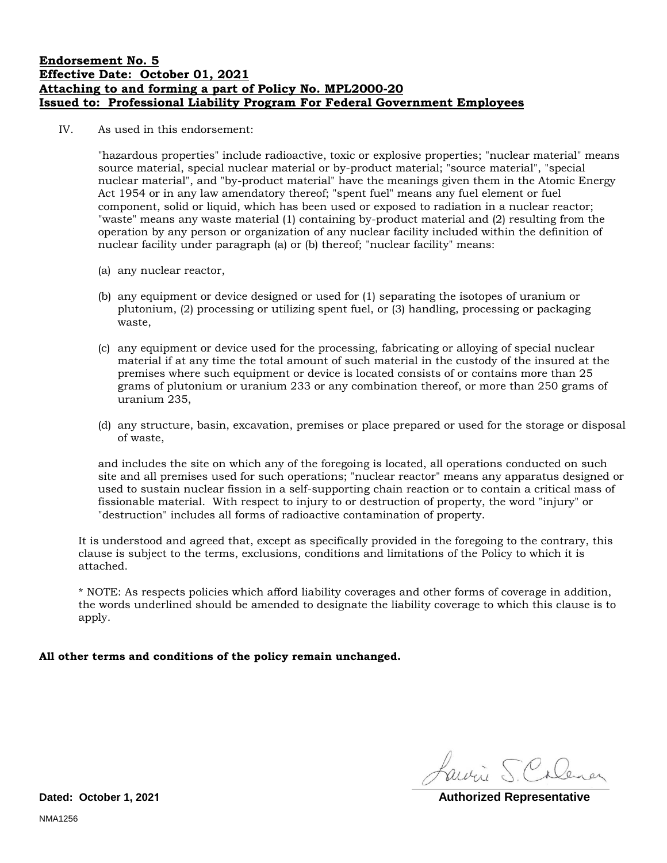### **Endorsement No. 5 Effective Date: October 01, 2021 Attaching to and forming a part of Policy No. MPL2000-20 Issued to: Professional Liability Program For Federal Government Employees**

IV. As used in this endorsement:

"hazardous properties" include radioactive, toxic or explosive properties; "nuclear material" means source material, special nuclear material or by-product material; "source material", "special nuclear material", and "by-product material" have the meanings given them in the Atomic Energy Act 1954 or in any law amendatory thereof; "spent fuel" means any fuel element or fuel component, solid or liquid, which has been used or exposed to radiation in a nuclear reactor; "waste" means any waste material (1) containing by-product material and (2) resulting from the operation by any person or organization of any nuclear facility included within the definition of nuclear facility under paragraph (a) or (b) thereof; "nuclear facility" means:

- (a) any nuclear reactor,
- (b) any equipment or device designed or used for (1) separating the isotopes of uranium or plutonium, (2) processing or utilizing spent fuel, or (3) handling, processing or packaging waste,
- (c) any equipment or device used for the processing, fabricating or alloying of special nuclear material if at any time the total amount of such material in the custody of the insured at the premises where such equipment or device is located consists of or contains more than 25 grams of plutonium or uranium 233 or any combination thereof, or more than 250 grams of uranium 235,
- (d) any structure, basin, excavation, premises or place prepared or used for the storage or disposal of waste,

and includes the site on which any of the foregoing is located, all operations conducted on such site and all premises used for such operations; "nuclear reactor" means any apparatus designed or used to sustain nuclear fission in a self-supporting chain reaction or to contain a critical mass of fissionable material. With respect to injury to or destruction of property, the word "injury" or "destruction" includes all forms of radioactive contamination of property.

It is understood and agreed that, except as specifically provided in the foregoing to the contrary, this clause is subject to the terms, exclusions, conditions and limitations of the Policy to which it is attached.

\* NOTE: As respects policies which afford liability coverages and other forms of coverage in addition, the words underlined should be amended to designate the liability coverage to which this clause is to apply.

**Dated: October 1, 2021 Authorized Representative Authorized Representative**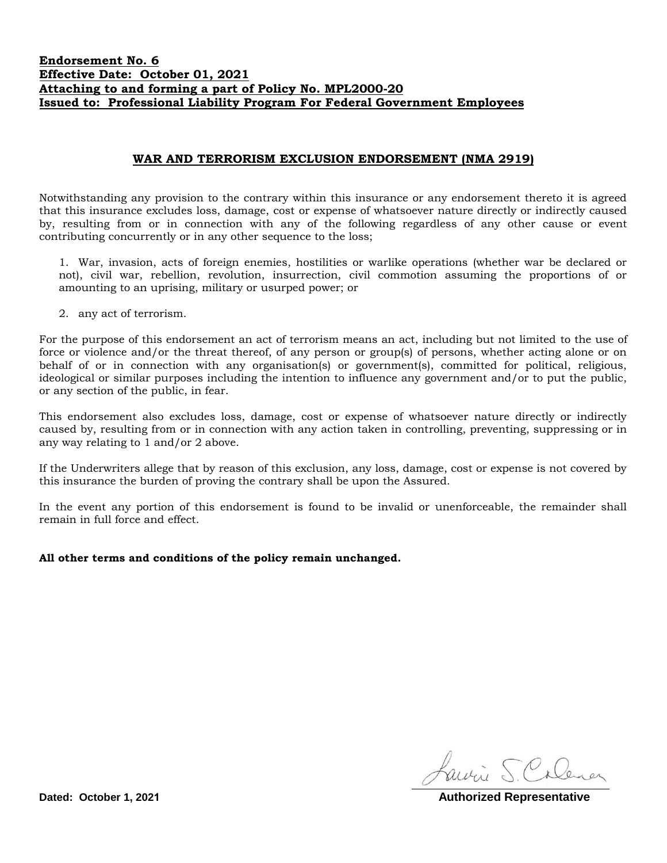### **Endorsement No. 6 Effective Date: October 01, 2021 Attaching to and forming a part of Policy No. MPL2000-20 Issued to: Professional Liability Program For Federal Government Employees**

#### **WAR AND TERRORISM EXCLUSION ENDORSEMENT (NMA 2919)**

Notwithstanding any provision to the contrary within this insurance or any endorsement thereto it is agreed that this insurance excludes loss, damage, cost or expense of whatsoever nature directly or indirectly caused by, resulting from or in connection with any of the following regardless of any other cause or event contributing concurrently or in any other sequence to the loss;

1. War, invasion, acts of foreign enemies, hostilities or warlike operations (whether war be declared or not), civil war, rebellion, revolution, insurrection, civil commotion assuming the proportions of or amounting to an uprising, military or usurped power; or

2. any act of terrorism.

For the purpose of this endorsement an act of terrorism means an act, including but not limited to the use of force or violence and/or the threat thereof, of any person or group(s) of persons, whether acting alone or on behalf of or in connection with any organisation(s) or government(s), committed for political, religious, ideological or similar purposes including the intention to influence any government and/or to put the public, or any section of the public, in fear.

This endorsement also excludes loss, damage, cost or expense of whatsoever nature directly or indirectly caused by, resulting from or in connection with any action taken in controlling, preventing, suppressing or in any way relating to 1 and/or 2 above.

If the Underwriters allege that by reason of this exclusion, any loss, damage, cost or expense is not covered by this insurance the burden of proving the contrary shall be upon the Assured.

In the event any portion of this endorsement is found to be invalid or unenforceable, the remainder shall remain in full force and effect.

**Dated: October 1, 2021 Authorized Representative Authorized Representative**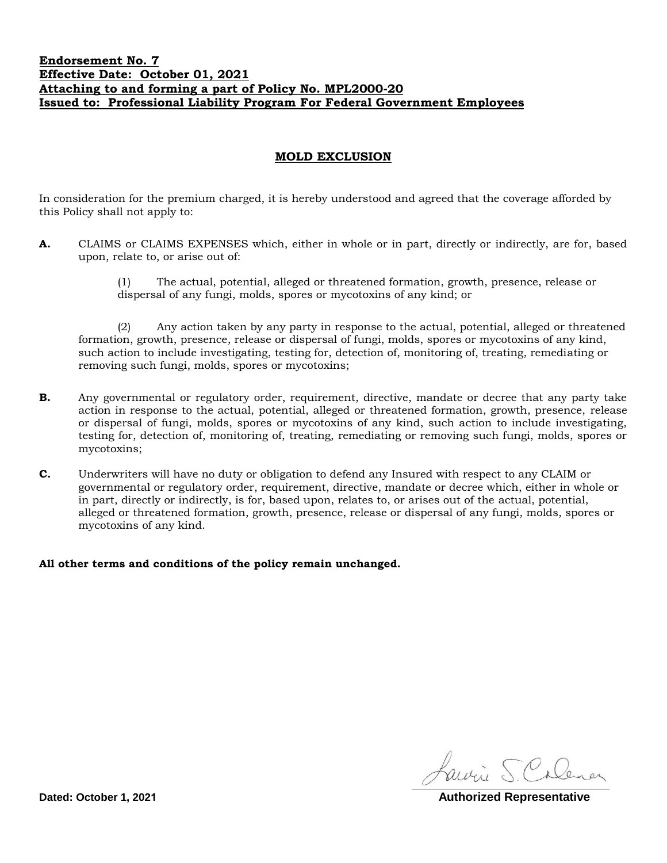### **Endorsement No. 7 Effective Date: October 01, 2021 Attaching to and forming a part of Policy No. MPL2000-20 Issued to: Professional Liability Program For Federal Government Employees**

#### **MOLD EXCLUSION**

In consideration for the premium charged, it is hereby understood and agreed that the coverage afforded by this Policy shall not apply to:

**A.** CLAIMS or CLAIMS EXPENSES which, either in whole or in part, directly or indirectly, are for, based upon, relate to, or arise out of:

> (1) The actual, potential, alleged or threatened formation, growth, presence, release or dispersal of any fungi, molds, spores or mycotoxins of any kind; or

(2) Any action taken by any party in response to the actual, potential, alleged or threatened formation, growth, presence, release or dispersal of fungi, molds, spores or mycotoxins of any kind, such action to include investigating, testing for, detection of, monitoring of, treating, remediating or removing such fungi, molds, spores or mycotoxins;

- **B.** Any governmental or regulatory order, requirement, directive, mandate or decree that any party take action in response to the actual, potential, alleged or threatened formation, growth, presence, release or dispersal of fungi, molds, spores or mycotoxins of any kind, such action to include investigating, testing for, detection of, monitoring of, treating, remediating or removing such fungi, molds, spores or mycotoxins;
- **C.** Underwriters will have no duty or obligation to defend any Insured with respect to any CLAIM or governmental or regulatory order, requirement, directive, mandate or decree which, either in whole or in part, directly or indirectly, is for, based upon, relates to, or arises out of the actual, potential, alleged or threatened formation, growth, presence, release or dispersal of any fungi, molds, spores or mycotoxins of any kind.

**Dated: October 1, 2021 Authorized Representative**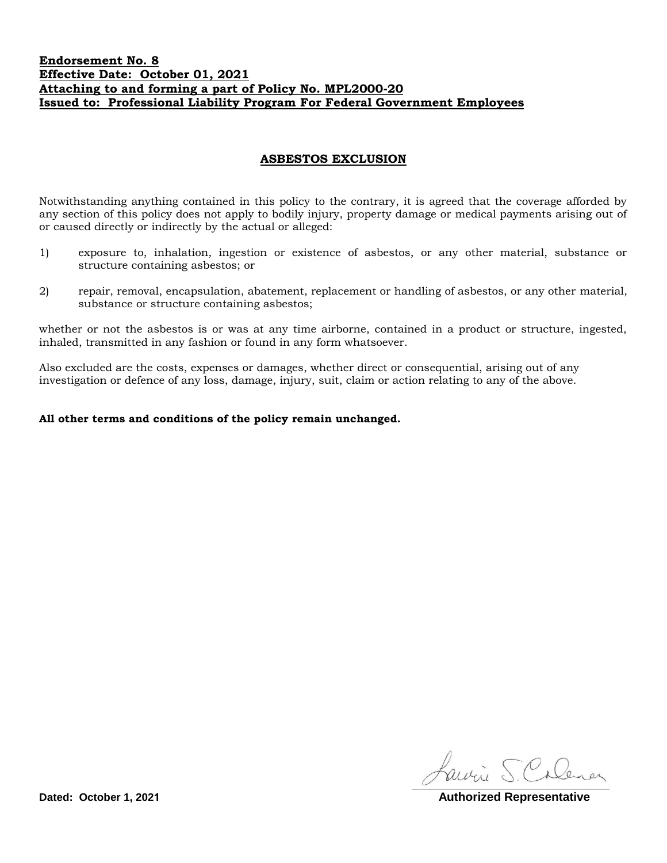### **Endorsement No. 8 Effective Date: October 01, 2021 Attaching to and forming a part of Policy No. MPL2000-20 Issued to: Professional Liability Program For Federal Government Employees**

# **ASBESTOS EXCLUSION**

Notwithstanding anything contained in this policy to the contrary, it is agreed that the coverage afforded by any section of this policy does not apply to bodily injury, property damage or medical payments arising out of or caused directly or indirectly by the actual or alleged:

- 1) exposure to, inhalation, ingestion or existence of asbestos, or any other material, substance or structure containing asbestos; or
- 2) repair, removal, encapsulation, abatement, replacement or handling of asbestos, or any other material, substance or structure containing asbestos;

whether or not the asbestos is or was at any time airborne, contained in a product or structure, ingested, inhaled, transmitted in any fashion or found in any form whatsoever.

Also excluded are the costs, expenses or damages, whether direct or consequential, arising out of any investigation or defence of any loss, damage, injury, suit, claim or action relating to any of the above.

**Dated: October 1, 2021 Authorized Representative Authorized Representative**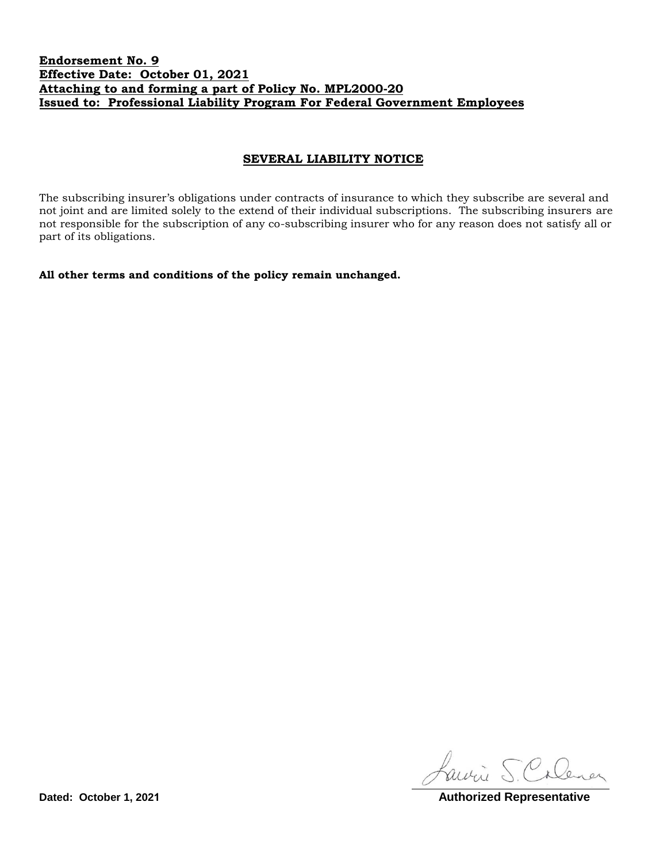### **Endorsement No. 9 Effective Date: October 01, 2021 Attaching to and forming a part of Policy No. MPL2000-20 Issued to: Professional Liability Program For Federal Government Employees**

### **SEVERAL LIABILITY NOTICE**

The subscribing insurer's obligations under contracts of insurance to which they subscribe are several and not joint and are limited solely to the extend of their individual subscriptions. The subscribing insurers are not responsible for the subscription of any co-subscribing insurer who for any reason does not satisfy all or part of its obligations.

aurie S. Cal Lemer

**Dated: October 1, 2021 Authorized Representative**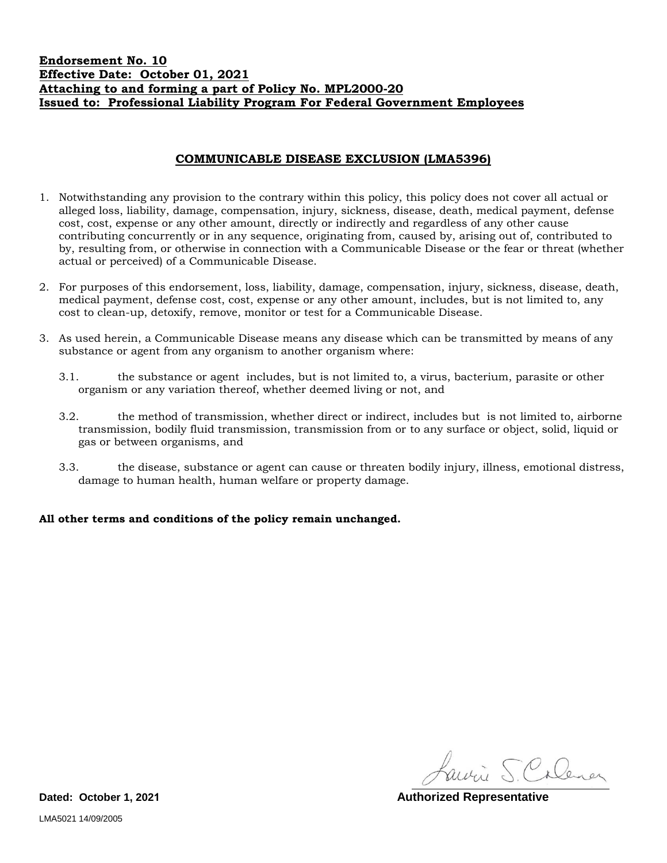### **Endorsement No. 10 Effective Date: October 01, 2021 Attaching to and forming a part of Policy No. MPL2000-20 Issued to: Professional Liability Program For Federal Government Employees**

#### **COMMUNICABLE DISEASE EXCLUSION (LMA5396)**

- 1. Notwithstanding any provision to the contrary within this policy, this policy does not cover all actual or alleged loss, liability, damage, compensation, injury, sickness, disease, death, medical payment, defense cost, cost, expense or any other amount, directly or indirectly and regardless of any other cause contributing concurrently or in any sequence, originating from, caused by, arising out of, contributed to by, resulting from, or otherwise in connection with a Communicable Disease or the fear or threat (whether actual or perceived) of a Communicable Disease.
- 2. For purposes of this endorsement, loss, liability, damage, compensation, injury, sickness, disease, death, medical payment, defense cost, cost, expense or any other amount, includes, but is not limited to, any cost to clean-up, detoxify, remove, monitor or test for a Communicable Disease.
- 3. As used herein, a Communicable Disease means any disease which can be transmitted by means of any substance or agent from any organism to another organism where:
	- 3.1. the substance or agent includes, but is not limited to, a virus, bacterium, parasite or other organism or any variation thereof, whether deemed living or not, and
	- 3.2. the method of transmission, whether direct or indirect, includes but is not limited to, airborne transmission, bodily fluid transmission, transmission from or to any surface or object, solid, liquid or gas or between organisms, and
	- 3.3. the disease, substance or agent can cause or threaten bodily injury, illness, emotional distress, damage to human health, human welfare or property damage.

aurie S. Calenar

**Dated: October 1, 2021 Authorized Representative Authorized Representative**